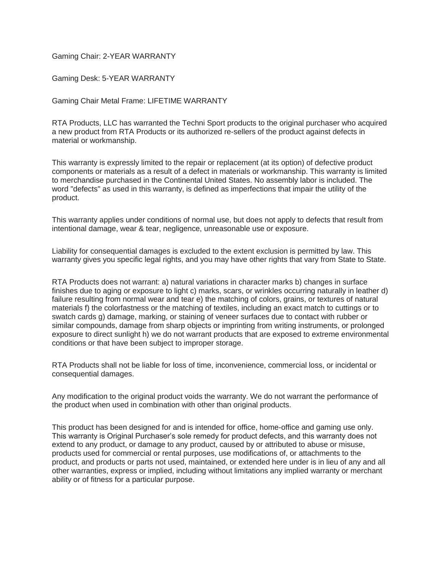Gaming Chair: 2-YEAR WARRANTY

Gaming Desk: 5-YEAR WARRANTY

Gaming Chair Metal Frame: LIFETIME WARRANTY

RTA Products, LLC has warranted the Techni Sport products to the original purchaser who acquired a new product from RTA Products or its authorized re-sellers of the product against defects in material or workmanship.

This warranty is expressly limited to the repair or replacement (at its option) of defective product components or materials as a result of a defect in materials or workmanship. This warranty is limited to merchandise purchased in the Continental United States. No assembly labor is included. The word "defects" as used in this warranty, is defined as imperfections that impair the utility of the product.

This warranty applies under conditions of normal use, but does not apply to defects that result from intentional damage, wear & tear, negligence, unreasonable use or exposure.

Liability for consequential damages is excluded to the extent exclusion is permitted by law. This warranty gives you specific legal rights, and you may have other rights that vary from State to State.

RTA Products does not warrant: a) natural variations in character marks b) changes in surface finishes due to aging or exposure to light c) marks, scars, or wrinkles occurring naturally in leather d) failure resulting from normal wear and tear e) the matching of colors, grains, or textures of natural materials f) the colorfastness or the matching of textiles, including an exact match to cuttings or to swatch cards g) damage, marking, or staining of veneer surfaces due to contact with rubber or similar compounds, damage from sharp objects or imprinting from writing instruments, or prolonged exposure to direct sunlight h) we do not warrant products that are exposed to extreme environmental conditions or that have been subject to improper storage.

RTA Products shall not be liable for loss of time, inconvenience, commercial loss, or incidental or consequential damages.

Any modification to the original product voids the warranty. We do not warrant the performance of the product when used in combination with other than original products.

This product has been designed for and is intended for office, home-office and gaming use only. This warranty is Original Purchaser's sole remedy for product defects, and this warranty does not extend to any product, or damage to any product, caused by or attributed to abuse or misuse, products used for commercial or rental purposes, use modifications of, or attachments to the product, and products or parts not used, maintained, or extended here under is in lieu of any and all other warranties, express or implied, including without limitations any implied warranty or merchant ability or of fitness for a particular purpose.